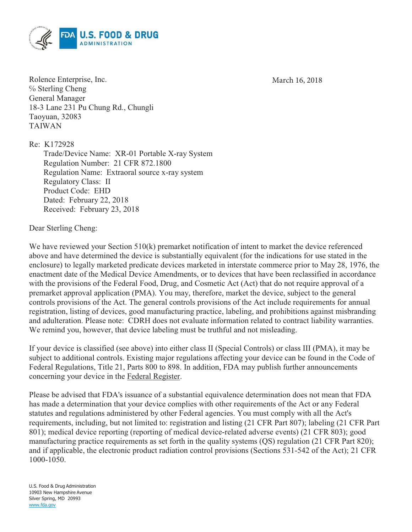March 16, 2018



Rolence Enterprise, Inc. ℅ Sterling Cheng General Manager 18-3 Lane 231 Pu Chung Rd., Chungli Taoyuan, 32083 TAIWAN

Re: K172928

Trade/Device Name: XR-01 Portable X-ray System Regulation Number: 21 CFR 872.1800 Regulation Name: Extraoral source x-ray system Regulatory Class: II Product Code: EHD Dated: February 22, 2018 Received: February 23, 2018

Dear Sterling Cheng:

We have reviewed your Section 510(k) premarket notification of intent to market the device referenced above and have determined the device is substantially equivalent (for the indications for use stated in the enclosure) to legally marketed predicate devices marketed in interstate commerce prior to May 28, 1976, the enactment date of the Medical Device Amendments, or to devices that have been reclassified in accordance with the provisions of the Federal Food, Drug, and Cosmetic Act (Act) that do not require approval of a premarket approval application (PMA). You may, therefore, market the device, subject to the general controls provisions of the Act. The general controls provisions of the Act include requirements for annual registration, listing of devices, good manufacturing practice, labeling, and prohibitions against misbranding and adulteration. Please note: CDRH does not evaluate information related to contract liability warranties. We remind you, however, that device labeling must be truthful and not misleading.

If your device is classified (see above) into either class II (Special Controls) or class III (PMA), it may be subject to additional controls. Existing major regulations affecting your device can be found in the Code of Federal Regulations, Title 21, Parts 800 to 898. In addition, FDA may publish further announcements concerning your device in the Federal Register.

Please be advised that FDA's issuance of a substantial equivalence determination does not mean that FDA has made a determination that your device complies with other requirements of the Act or any Federal statutes and regulations administered by other Federal agencies. You must comply with all the Act's requirements, including, but not limited to: registration and listing (21 CFR Part 807); labeling (21 CFR Part 801); medical device reporting (reporting of medical device-related adverse events) (21 CFR 803); good manufacturing practice requirements as set forth in the quality systems (QS) regulation (21 CFR Part 820); and if applicable, the electronic product radiation control provisions (Sections 531-542 of the Act); 21 CFR 1000-1050.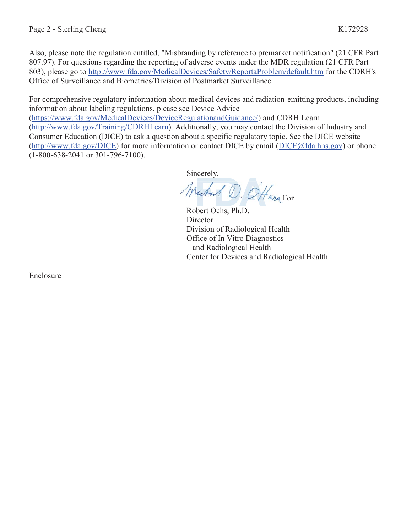Also, please note the regulation entitled, "Misbranding by reference to premarket notification" (21 CFR Part 807.97). For questions regarding the reporting of adverse events under the MDR regulation (21 CFR Part 803), please go to http://www.fda.gov/MedicalDevices/Safety/ReportaProblem/default.htm for the CDRH's Office of Surveillance and Biometrics/Division of Postmarket Surveillance.

For comprehensive regulatory information about medical devices and radiation-emitting products, including information about labeling regulations, please see Device Advice (https://www.fda.gov/MedicalDevices/DeviceRegulationandGuidance/) and CDRH Learn

(http://www.fda.gov/Training/CDRHLearn). Additionally, you may contact the Division of Industry and Consumer Education (DICE) to ask a question about a specific regulatory topic. See the DICE website (http://www.fda.gov/DICE) for more information or contact DICE by email (DICE@fda.hhs.gov) or phone (1-800-638-2041 or 301-796-7100).

Sincerely,

Michael D. O'Hara For

Robert Ochs, Ph.D. **Director** Division of Radiological Health Office of In Vitro Diagnostics and Radiological Health Center for Devices and Radiological Health

Enclosure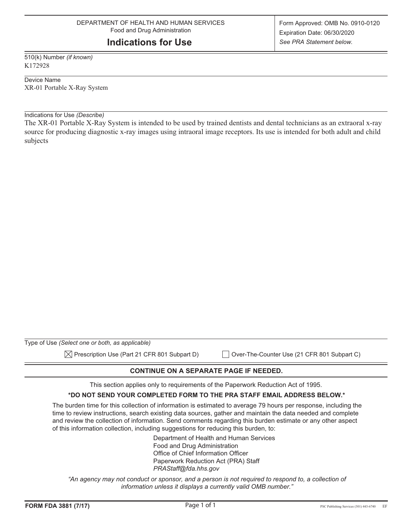# **Indications for Use**

510(k) Number *(if known)* K172928

Device Name XR-01 Portable X-Ray System

Indications for Use *(Describe)*

The XR-01 Portable X-Ray System is intended to be used by trained dentists and dental technicians as an extraoral x-ray source for producing diagnostic x-ray images using intraoral image receptors. Its use is intended for both adult and child subjects

| Type of Use (Select one or both, as applicable)          |                                             |
|----------------------------------------------------------|---------------------------------------------|
| $\boxtimes$ Prescription Use (Part 21 CFR 801 Subpart D) | Over-The-Counter Use (21 CFR 801 Subpart C) |

## **CONTINUE ON A SEPARATE PAGE IF NEEDED.**

This section applies only to requirements of the Paperwork Reduction Act of 1995.

#### **\*DO NOT SEND YOUR COMPLETED FORM TO THE PRA STAFF EMAIL ADDRESS BELOW.\***

The burden time for this collection of information is estimated to average 79 hours per response, including the time to review instructions, search existing data sources, gather and maintain the data needed and complete and review the collection of information. Send comments regarding this burden estimate or any other aspect of this information collection, including suggestions for reducing this burden, to:

> Department of Health and Human Services Food and Drug Administration Office of Chief Information Officer Paperwork Reduction Act (PRA) Staff *PRAStaff@fda.hhs.gov*

"An agency may not conduct or sponsor, and a person is not required to respond to, a collection of *information unless it displays a currently valid OMB number."*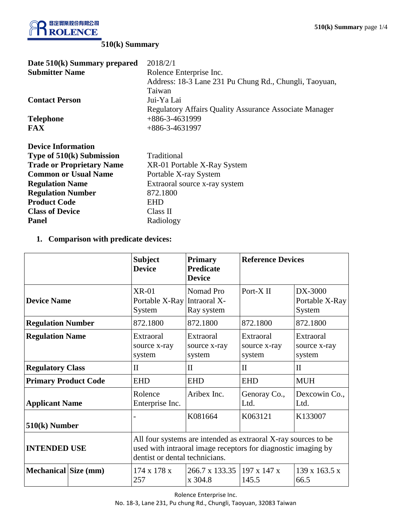

# **510(k) Summary**

| Date 510(k) Summary prepared     | 2018/2/1                                                      |  |  |
|----------------------------------|---------------------------------------------------------------|--|--|
| <b>Submitter Name</b>            | Rolence Enterprise Inc.                                       |  |  |
|                                  | Address: 18-3 Lane 231 Pu Chung Rd., Chungli, Taoyuan,        |  |  |
|                                  | Taiwan                                                        |  |  |
| <b>Contact Person</b>            | Jui-Ya Lai                                                    |  |  |
|                                  | <b>Regulatory Affairs Quality Assurance Associate Manager</b> |  |  |
| <b>Telephone</b>                 | +886-3-4631999                                                |  |  |
| <b>FAX</b>                       | $+886-3-4631997$                                              |  |  |
| <b>Device Information</b>        |                                                               |  |  |
| Type of 510(k) Submission        | Traditional                                                   |  |  |
| <b>Trade or Proprietary Name</b> | XR-01 Portable X-Ray System                                   |  |  |
| <b>Common or Usual Name</b>      | Portable X-ray System                                         |  |  |
| <b>Regulation Name</b>           | Extraoral source x-ray system                                 |  |  |
| <b>Regulation Number</b>         | 872.1800                                                      |  |  |
| <b>Product Code</b>              | <b>EHD</b>                                                    |  |  |
| <b>Class of Device</b>           | Class II                                                      |  |  |
| <b>Panel</b>                     | Radiology                                                     |  |  |
|                                  |                                                               |  |  |

**1. Comparison with predicate devices:**

|                             | <b>Subject</b><br><b>Device</b>                                                                                                                                   | <b>Primary</b><br><b>Predicate</b><br><b>Device</b> | <b>Reference Devices</b>            |                                       |
|-----------------------------|-------------------------------------------------------------------------------------------------------------------------------------------------------------------|-----------------------------------------------------|-------------------------------------|---------------------------------------|
| <b>Device Name</b>          | $XR-01$<br>Portable X-Ray Intraoral X-<br>System                                                                                                                  | Nomad Pro<br>Ray system                             | Port-X <sub>II</sub>                | $DX-3000$<br>Portable X-Ray<br>System |
| <b>Regulation Number</b>    | 872.1800                                                                                                                                                          | 872.1800                                            | 872.1800                            | 872.1800                              |
| <b>Regulation Name</b>      | Extraoral<br>source x-ray<br>system                                                                                                                               | Extraoral<br>source x-ray<br>system                 | Extraoral<br>source x-ray<br>system | Extraoral<br>source x-ray<br>system   |
| <b>Regulatory Class</b>     | $\mathbf{I}$                                                                                                                                                      | $\mathbf{I}$                                        | $\mathbf{H}$                        | $\mathbf{I}$                          |
| <b>Primary Product Code</b> | <b>EHD</b>                                                                                                                                                        | <b>EHD</b>                                          | <b>EHD</b>                          | <b>MUH</b>                            |
| <b>Applicant Name</b>       | Rolence<br>Enterprise Inc.                                                                                                                                        | Aribex Inc.                                         | Genoray Co.,<br>Ltd.                | Dexcowin Co.,<br>Ltd.                 |
| 510(k) Number               | K081664<br>K063121<br>K133007                                                                                                                                     |                                                     |                                     |                                       |
| <b>INTENDED USE</b>         | All four systems are intended as extraoral X-ray sources to be<br>used with intraoral image receptors for diagnostic imaging by<br>dentist or dental technicians. |                                                     |                                     |                                       |
| Mechanical Size (mm)        | $174 \times 178 \times$<br>257                                                                                                                                    | 266.7 x 133.35<br>x 304.8                           | $197 \times 147 \times$<br>145.5    | $139 \times 163.5 \times$<br>66.5     |

Rolence Enterprise Inc.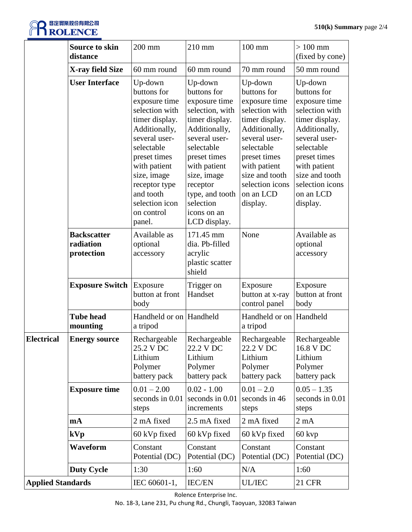# **REDERED BEERING** F

|                          | <b>Source to skin</b><br>distance             | 200 mm                                                                                                                                                                                                                                             | 210 mm                                                                                                                                                                                                                                                 | $100$ mm                                                                                                                                                                                                                  | $>100$ mm<br>(fixed by cone)                                                                                                                                                                                              |
|--------------------------|-----------------------------------------------|----------------------------------------------------------------------------------------------------------------------------------------------------------------------------------------------------------------------------------------------------|--------------------------------------------------------------------------------------------------------------------------------------------------------------------------------------------------------------------------------------------------------|---------------------------------------------------------------------------------------------------------------------------------------------------------------------------------------------------------------------------|---------------------------------------------------------------------------------------------------------------------------------------------------------------------------------------------------------------------------|
|                          | X-ray field Size                              | 60 mm round                                                                                                                                                                                                                                        | 60 mm round                                                                                                                                                                                                                                            | 70 mm round                                                                                                                                                                                                               | 50 mm round                                                                                                                                                                                                               |
|                          | <b>User Interface</b>                         | Up-down<br>buttons for<br>exposure time<br>selection with<br>timer display.<br>Additionally,<br>several user-<br>selectable<br>preset times<br>with patient<br>size, image<br>receptor type<br>and tooth<br>selection icon<br>on control<br>panel. | Up-down<br>buttons for<br>exposure time<br>selection, with<br>timer display.<br>Additionally,<br>several user-<br>selectable<br>preset times<br>with patient<br>size, image<br>receptor<br>type, and tooth<br>selection<br>icons on an<br>LCD display. | Up-down<br>buttons for<br>exposure time<br>selection with<br>timer display.<br>Additionally,<br>several user-<br>selectable<br>preset times<br>with patient<br>size and tooth<br>selection icons<br>on an LCD<br>display. | Up-down<br>buttons for<br>exposure time<br>selection with<br>timer display.<br>Additionally,<br>several user-<br>selectable<br>preset times<br>with patient<br>size and tooth<br>selection icons<br>on an LCD<br>display. |
|                          | <b>Backscatter</b><br>radiation<br>protection | Available as<br>optional<br>accessory                                                                                                                                                                                                              | 171.45 mm<br>dia. Pb-filled<br>acrylic<br>plastic scatter<br>shield                                                                                                                                                                                    | None                                                                                                                                                                                                                      | Available as<br>optional<br>accessory                                                                                                                                                                                     |
|                          | <b>Exposure Switch</b>                        | Exposure<br>button at front<br>body                                                                                                                                                                                                                | Trigger on<br>Handset                                                                                                                                                                                                                                  | Exposure<br>button at x-ray<br>control panel                                                                                                                                                                              | Exposure<br>button at front<br>body                                                                                                                                                                                       |
|                          | <b>Tube head</b><br>mounting                  | Handheld or on Handheld<br>a tripod                                                                                                                                                                                                                |                                                                                                                                                                                                                                                        | Handheld or on<br>a tripod                                                                                                                                                                                                | Handheld                                                                                                                                                                                                                  |
| Electrical               | <b>Energy source</b>                          | Rechargeable<br>25.2 V DC<br>Lithium<br>Polymer<br>battery pack                                                                                                                                                                                    | Rechargeable<br>22.2 V DC<br>Lithium<br>Polymer<br>battery pack                                                                                                                                                                                        | Rechargeable<br>22.2 V DC<br>Lithium<br>Polymer<br>battery pack                                                                                                                                                           | Rechargeable<br>16.8 V DC<br>Lithium<br>Polymer<br>battery pack                                                                                                                                                           |
|                          | <b>Exposure time</b>                          | $0.01 - 2.00$<br>seconds in 0.01<br>steps                                                                                                                                                                                                          | $0.02 - 1.00$<br>seconds in 0.01<br>increments                                                                                                                                                                                                         | $0.01 - 2.0$<br>seconds in 46<br>steps                                                                                                                                                                                    | $0.05 - 1.35$<br>seconds in 0.01<br>steps                                                                                                                                                                                 |
|                          | mA                                            | 2 mA fixed                                                                                                                                                                                                                                         | 2.5 mA fixed                                                                                                                                                                                                                                           | 2 mA fixed                                                                                                                                                                                                                | $2 \text{ mA}$                                                                                                                                                                                                            |
|                          | kVp                                           | 60 kVp fixed                                                                                                                                                                                                                                       | 60 kVp fixed                                                                                                                                                                                                                                           | 60 kVp fixed                                                                                                                                                                                                              | $60$ kvp                                                                                                                                                                                                                  |
|                          | Waveform                                      | Constant<br>Potential (DC)                                                                                                                                                                                                                         | Constant<br>Potential (DC)                                                                                                                                                                                                                             | Constant<br>Potential (DC)                                                                                                                                                                                                | Constant<br>Potential (DC)                                                                                                                                                                                                |
|                          | <b>Duty Cycle</b>                             | 1:30                                                                                                                                                                                                                                               | 1:60                                                                                                                                                                                                                                                   | N/A                                                                                                                                                                                                                       | 1:60                                                                                                                                                                                                                      |
| <b>Applied Standards</b> |                                               | IEC 60601-1,                                                                                                                                                                                                                                       | <b>IEC/EN</b>                                                                                                                                                                                                                                          | <b>UL/IEC</b>                                                                                                                                                                                                             | <b>21 CFR</b>                                                                                                                                                                                                             |

Rolence Enterprise Inc.

No. 18-3, Lane 231, Pu chung Rd., Chungli, Taoyuan, 32083 Taiwan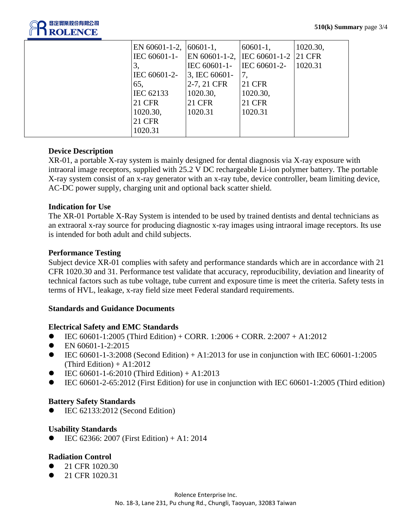

| EN $60601 - 1 - 2$ ,<br>IEC 60601-1-<br>3,<br>IEC 60601-2-<br>65,<br>IEC 62133<br><b>21 CFR</b><br>1020.30,<br><b>21 CFR</b> | $60601 - 1$ ,<br>IEC 60601-1-<br>3, IEC 60601-<br>2-7, 21 CFR<br>1020.30,<br><b>21 CFR</b><br>1020.31 | $60601 - 1$ ,<br>EN 60601-1-2, IEC 60601-1-2 21 CFR<br>IEC 60601-2-<br><b>21 CFR</b><br>1020.30,<br><b>21 CFR</b><br>1020.31 | 1020.30,<br>1020.31 |
|------------------------------------------------------------------------------------------------------------------------------|-------------------------------------------------------------------------------------------------------|------------------------------------------------------------------------------------------------------------------------------|---------------------|
| 1020.31                                                                                                                      |                                                                                                       |                                                                                                                              |                     |

### **Device Description**

XR-01, a portable X-ray system is mainly designed for dental diagnosis via X-ray exposure with intraoral image receptors, supplied with 25.2 V DC rechargeable Li-ion polymer battery. The portable X-ray system consist of an x-ray generator with an x-ray tube, device controller, beam limiting device, AC-DC power supply, charging unit and optional back scatter shield.

### **Indication for Use**

The XR-01 Portable X-Ray System is intended to be used by trained dentists and dental technicians as an extraoral x-ray source for producing diagnostic x-ray images using intraoral image receptors. Its use is intended for both adult and child subjects.

#### **Performance Testing**

Subject device XR-01 complies with safety and performance standards which are in accordance with 21 CFR 1020.30 and 31. Performance test validate that accuracy, reproducibility, deviation and linearity of technical factors such as tube voltage, tube current and exposure time is meet the criteria. Safety tests in terms of HVL, leakage, x-ray field size meet Federal standard requirements.

#### **Standards and Guidance Documents**

#### **Electrical Safety and EMC Standards**

- $\bullet$  IEC 60601-1:2005 (Third Edition) + CORR. 1:2006 + CORR. 2:2007 + A1:2012
- $\bullet$  EN 60601-1-2:2015
- $\bullet$  IEC 60601-1-3:2008 (Second Edition) + A1:2013 for use in conjunction with IEC 60601-1:2005 (Third Edition)  $+$  A1:2012
- $\bullet$  IEC 60601-1-6:2010 (Third Edition) + A1:2013
- IEC 60601-2-65:2012 (First Edition) for use in conjunction with IEC 60601-1:2005 (Third edition)

#### **Battery Safety Standards**

IEC 62133:2012 (Second Edition)

#### **Usability Standards**

IEC 62366: 2007 (First Edition) + A1: 2014

#### **Radiation Control**

- 21 CFR 1020.30
- 21 CFR 1020.31